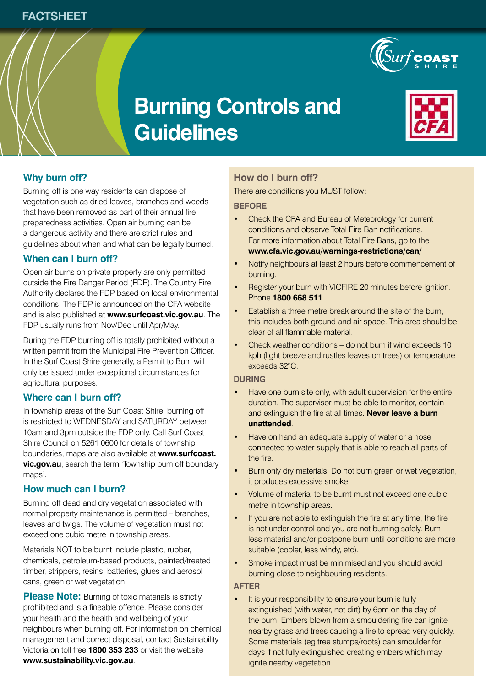

# **Burning Controls and Guidelines**



# **Why burn off?**

Burning off is one way residents can dispose of vegetation such as dried leaves, branches and weeds that have been removed as part of their annual fire preparedness activities. Open air burning can be a dangerous activity and there are strict rules and guidelines about when and what can be legally burned.

## **When can I burn off?**

Open air burns on private property are only permitted outside the Fire Danger Period (FDP). The Country Fire Authority declares the FDP based on local environmental conditions. The FDP is announced on the CFA website and is also published at **www.surfcoast.vic.gov.au**. The FDP usually runs from Nov/Dec until Apr/May.

During the FDP burning off is totally prohibited without a written permit from the Municipal Fire Prevention Officer. In the Surf Coast Shire generally, a Permit to Burn will only be issued under exceptional circumstances for agricultural purposes.

## **Where can I burn off?**

In township areas of the Surf Coast Shire, burning off is restricted to WEDNESDAY and SATURDAY between 10am and 3pm outside the FDP only. Call Surf Coast Shire Council on 5261 0600 for details of township boundaries, maps are also available at **www.surfcoast. vic.gov.au**, search the term 'Township burn off boundary maps'.

## **How much can I burn?**

Burning off dead and dry vegetation associated with normal property maintenance is permitted – branches, leaves and twigs. The volume of vegetation must not exceed one cubic metre in township areas.

Materials NOT to be burnt include plastic, rubber, chemicals, petroleum-based products, painted/treated timber, strippers, resins, batteries, glues and aerosol cans, green or wet vegetation.

**Please Note:** Burning of toxic materials is strictly prohibited and is a fineable offence. Please consider your health and the health and wellbeing of your neighbours when burning off. For information on chemical management and correct disposal, contact Sustainability Victoria on toll free **1800 353 233** or visit the website **www.sustainability.vic.gov.au**.

# **How do I burn off?**

There are conditions you MUST follow:

#### **BEFORE**

- Check the CFA and Bureau of Meteorology for current conditions and observe Total Fire Ban notifications. For more information about Total Fire Bans, go to the **www.cfa.vic.gov.au/warnings-restrictions/can/**
- Notify neighbours at least 2 hours before commencement of burning.
- Register your burn with VICFIRE 20 minutes before ignition. Phone **1800 668 511**.
- Establish a three metre break around the site of the burn, this includes both ground and air space. This area should be clear of all flammable material.
- Check weather conditions do not burn if wind exceeds 10 kph (light breeze and rustles leaves on trees) or temperature exceeds 32°C.

### **DURING**

- Have one burn site only, with adult supervision for the entire duration. The supervisor must be able to monitor, contain and extinguish the fire at all times. **Never leave a burn unattended**.
- Have on hand an adequate supply of water or a hose connected to water supply that is able to reach all parts of the fire.
- Burn only dry materials. Do not burn green or wet vegetation, it produces excessive smoke.
- Volume of material to be burnt must not exceed one cubic metre in township areas.
- If you are not able to extinguish the fire at any time, the fire is not under control and you are not burning safely. Burn less material and/or postpone burn until conditions are more suitable (cooler, less windy, etc).
- Smoke impact must be minimised and you should avoid burning close to neighbouring residents.

#### **AFTER**

• It is your responsibility to ensure your burn is fully extinguished (with water, not dirt) by 6pm on the day of the burn. Embers blown from a smouldering fire can ignite nearby grass and trees causing a fire to spread very quickly. Some materials (eg tree stumps/roots) can smoulder for days if not fully extinguished creating embers which may ignite nearby vegetation.